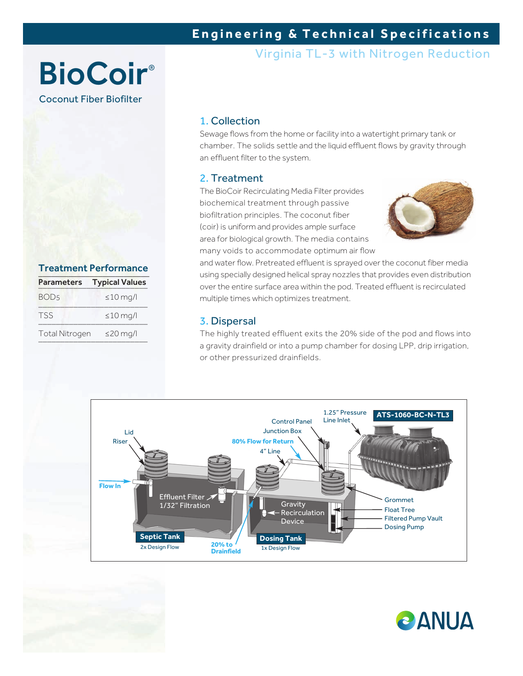## **Engineering & Technical Specifications**

Virginia TL-3 with Nitrogen Reduction

# **BioCoir®** Coconut Fiber Biofilter

#### 1. Collection

Sewage flows from the home or facility into a watertight primary tank or chamber. The solids settle and the liquid effluent flows by gravity through an effluent filter to the system.

### 2. Treatment

The BioCoir Recirculating Media Filter provides biochemical treatment through passive biofiltration principles. The coconut fiber (coir) is uniform and provides ample surface area for biological growth. The media contains many voids to accommodate optimum air flow



and water flow. Pretreated effluent is sprayed over the coconut fiber media using specially designed helical spray nozzles that provides even distribution over the entire surface area within the pod. Treated effluent is recirculated multiple times which optimizes treatment.

#### 3. Dispersal

The highly treated effluent exits the 20% side of the pod and flows into a gravity drainfield or into a pump chamber for dosing LPP, drip irrigation, or other pressurized drainfields.





Treatment Performance Parameters Typical Values  $BOD_5$   $\leq 10$  mg/l  $TSS \leq 10 \text{ mg/l}$ Total Nitrogen ≤20 mg/l \_\_\_\_\_\_\_\_\_\_\_\_\_\_\_\_\_\_\_\_\_\_\_\_\_